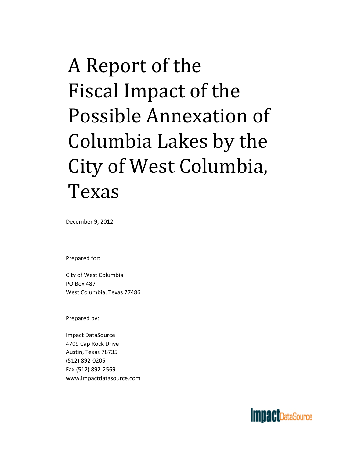# A Report of the Fiscal Impact of the Possible Annexation of City of West Columbia, Texas Columbia Lakes by the

December 9, 2012

Prepared for:

City of West Columbia PO Box 487 West Columbia, Texas 77486

Prepared by:

Impact DataSource 4709 Cap Rock Drive Austin, Texas 78735 (512) 892‐0205 Fax (512) 892‐2569 www.impactdatasource.com

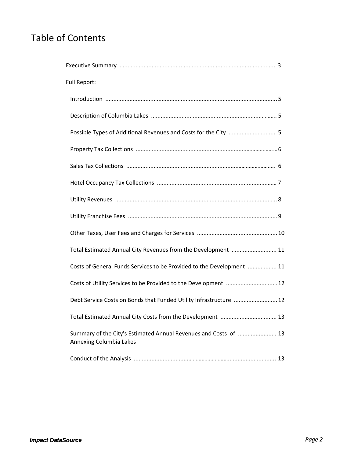# Table of Contents

| Full Report:                                                                                |  |
|---------------------------------------------------------------------------------------------|--|
|                                                                                             |  |
|                                                                                             |  |
| Possible Types of Additional Revenues and Costs for the City  5                             |  |
|                                                                                             |  |
|                                                                                             |  |
|                                                                                             |  |
|                                                                                             |  |
|                                                                                             |  |
|                                                                                             |  |
| Total Estimated Annual City Revenues from the Development  11                               |  |
| Costs of General Funds Services to be Provided to the Development  11                       |  |
| Costs of Utility Services to be Provided to the Development  12                             |  |
| Debt Service Costs on Bonds that Funded Utility Infrastructure  12                          |  |
| Total Estimated Annual City Costs from the Development  13                                  |  |
| Summary of the City's Estimated Annual Revenues and Costs of  13<br>Annexing Columbia Lakes |  |
|                                                                                             |  |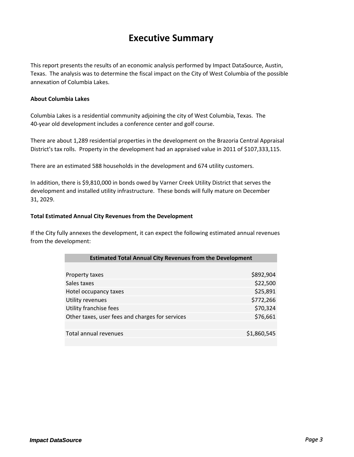## **Executive Summary**

This report presents the results of an economic analysis performed by Impact DataSource, Austin, Texas. The analysis was to determine the fiscal impact on the City of West Columbia of the possible annexation of Columbia Lakes.

#### **About Columbia Lakes**

Columbia Lakes is a residential community adjoining the city of West Columbia, Texas. The 40‐year old development includes a conference center and golf course.

There are about 1,289 residential properties in the development on the Brazoria Central Appraisal District's tax rolls. Property in the development had an appraised value in 2011 of \$107,333,115.

There are an estimated 588 households in the development and 674 utility customers.

In addition, there is \$9,810,000 in bonds owed by Varner Creek Utility District that serves the development and installed utility infrastructure. These bonds will fully mature on December 31, 2029.

#### **Total Estimated Annual City Revenues from the Development**

If the City fully annexes the development, it can expect the following estimated annual revenues from the development: p

| <b>Estimated Total Annual City Revenues from the Development</b> |             |
|------------------------------------------------------------------|-------------|
|                                                                  |             |
| Property taxes                                                   | \$892,904   |
| Sales taxes                                                      | \$22,500    |
| Hotel occupancy taxes                                            | \$25,891    |
| Utility revenues                                                 | \$772,266   |
| Utility franchise fees                                           | \$70,324    |
| Other taxes, user fees and charges for services                  | \$76,661    |
|                                                                  |             |
| Total annual revenues                                            | \$1,860,545 |
|                                                                  |             |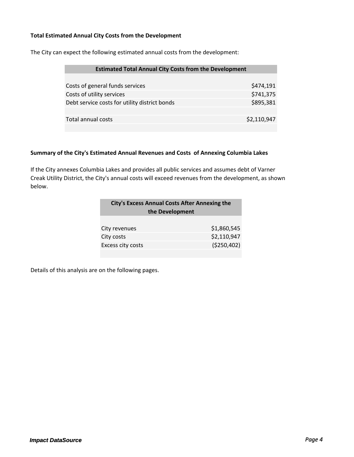#### **Total Estimated Annual City Costs from the Development**

The City can expect the following estimated annual costs from the development:

| <b>Estimated Total Annual City Costs from the Development</b> |  |
|---------------------------------------------------------------|--|
|                                                               |  |
| \$474,191                                                     |  |
| \$741,375                                                     |  |
| \$895,381                                                     |  |
|                                                               |  |
| \$2,110,947                                                   |  |
|                                                               |  |

#### **Summary of the City's Estimated Annual Revenues and Costs of Annexing Columbia Lakes**

If the City annexes Columbia Lakes and provides all public services and assumes debt of Varner Creak Utility District, the City's annual costs will exceed revenues from the development, as shown below.

| <b>City's Excess Annual Costs After Annexing the</b><br>the Development |             |  |
|-------------------------------------------------------------------------|-------------|--|
| City revenues                                                           | \$1,860,545 |  |
| City costs                                                              | \$2,110,947 |  |
| Excess city costs                                                       | (\$250,402) |  |
|                                                                         |             |  |

Details of this analysis are on the following pages.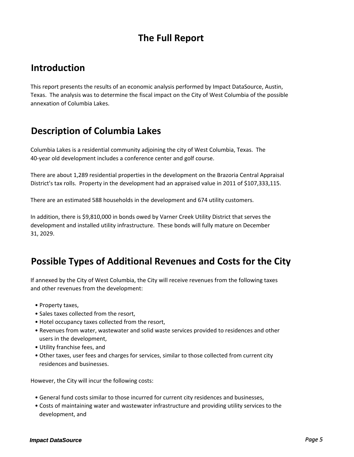# **The Full Report**

## **Introduction**

This report presents the results of an economic analysis performed by Impact DataSource, Austin, Texas. The analysis was to determine the fiscal impact on the City of West Columbia of the possible annexation of Columbia Lakes.

# **Description of Columbia Lakes**

Columbia Lakes is a residential community adjoining the city of West Columbia, Texas. The 40‐year old development includes a conference center and golf course.

There are about 1,289 residential properties in the development on the Brazoria Central Appraisal District's tax rolls. Property in the development had an appraised value in 2011 of \$107,333,115.

There are an estimated 588 households in the development and 674 utility customers.

In addition, there is \$9,810,000 in bonds owed by Varner Creek Utility District that serves the development and installed utility infrastructure. These bonds will fully mature on December 31, 2029.

# **Possible Types of Additional Revenues and Costs for the City**

If annexed by the City of West Columbia, the City will receive revenues from the following taxes and other revenues from the development:

- Property taxes,
- Sales taxes collected from the resort,
- Hotel occupancy taxes collected from the resort,
- Revenues from water, wastewater and solid waste services provided to residences and other users in the development,
- Utility franchise fees, and
- Other taxes, user fees and charges for services, similar to those collected from current city residences and businesses.

However, the City will incur the following costs:

- General fund costs similar to those incurred for current city residences and businesses,
- Costs of maintaining water and wastewater infrastructure and providing utility services to the development, and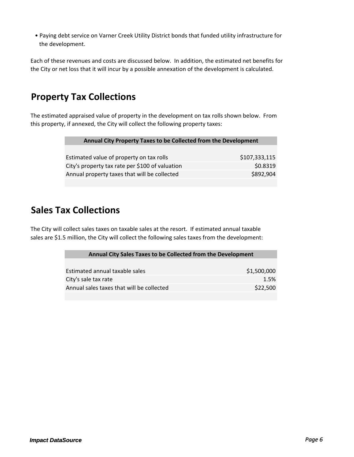• Paying debt service on Varner Creek Utility District bonds that funded utility infrastructure for the development.

Each of these revenues and costs are discussed below. In addition, the estimated net benefits for the City or net loss that it will incur by a possible annexation of the development is calculated.

# **Property Tax Collections**

The estimated appraised value of property in the development on tax rolls shown below. From this property, if annexed, the City will collect the following property taxes:

| Annual City Property Taxes to be Collected from the Development |               |
|-----------------------------------------------------------------|---------------|
|                                                                 |               |
| Estimated value of property on tax rolls                        | \$107,333,115 |
| City's property tax rate per \$100 of valuation                 | \$0.8319      |
| Annual property taxes that will be collected                    | \$892,904     |
|                                                                 |               |

## **Sales Tax Collections**

The City will collect sales taxes on taxable sales at the resort. If estimated annual taxable sales are \$1.5 million, the City will collect the following sales taxes from the development:

| Annual City Sales Taxes to be Collected from the Development |             |
|--------------------------------------------------------------|-------------|
|                                                              |             |
| Estimated annual taxable sales                               | \$1,500,000 |
| City's sale tax rate                                         | 1.5%        |
| Annual sales taxes that will be collected                    | \$22,500    |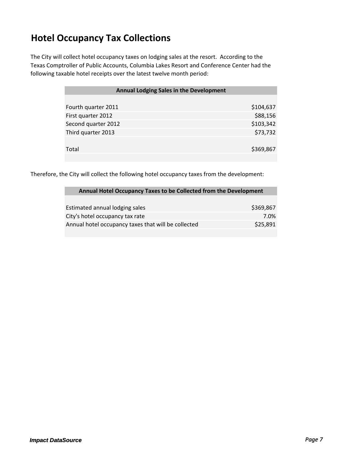# **Hotel Occupancy Tax Collections**

The City will collect hotel occupancy taxes on lodging sales at the resort. According to the Texas Comptroller of Public Accounts, Columbia Lakes Resort and Conference Center had the following taxable hotel receipts over the latest twelve month period:

| <b>Annual Lodging Sales in the Development</b> |           |
|------------------------------------------------|-----------|
|                                                |           |
| Fourth quarter 2011                            | \$104,637 |
| First quarter 2012                             | \$88,156  |
| Second quarter 2012                            | \$103,342 |
| Third quarter 2013                             | \$73,732  |
|                                                |           |
| Total                                          | \$369,867 |
|                                                |           |

Therefore, the City will collect the following hotel occupancy taxes from the development:

| Annual Hotel Occupancy Taxes to be Collected from the Development |           |
|-------------------------------------------------------------------|-----------|
|                                                                   |           |
| Estimated annual lodging sales                                    | \$369,867 |
| City's hotel occupancy tax rate                                   | 7.0%      |
| Annual hotel occupancy taxes that will be collected               | \$25,891  |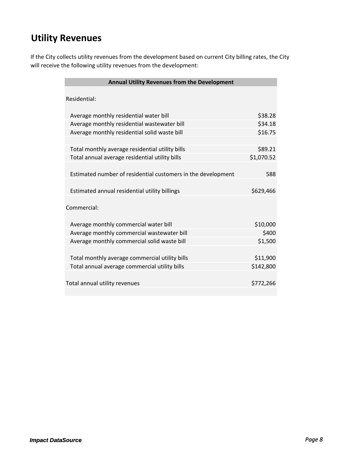# **Utility Revenues**

If the City collects utility revenues from the development based on current City billing rates, the City will receive the following utility revenues from the development:

| <b>Annual Utility Revenues from the Development</b>          |            |  |  |  |
|--------------------------------------------------------------|------------|--|--|--|
|                                                              |            |  |  |  |
| Residential:                                                 |            |  |  |  |
|                                                              |            |  |  |  |
| Average monthly residential water bill                       | \$38.28    |  |  |  |
| Average monthly residential wastewater bill                  | \$34.18    |  |  |  |
| Average monthly residential solid waste bill                 | \$16.75    |  |  |  |
|                                                              |            |  |  |  |
| Total monthly average residential utility bills              | \$89.21    |  |  |  |
| Total annual average residential utility bills               | \$1,070.52 |  |  |  |
|                                                              |            |  |  |  |
| Estimated number of residential customers in the development | 588        |  |  |  |
|                                                              |            |  |  |  |
| Estimated annual residential utility billings                | \$629,466  |  |  |  |
|                                                              |            |  |  |  |
| Commercial:                                                  |            |  |  |  |
|                                                              |            |  |  |  |
| Average monthly commercial water bill                        | \$10,000   |  |  |  |
| Average monthly commercial wastewater bill                   | \$400      |  |  |  |
| Average monthly commercial solid waste bill                  | \$1,500    |  |  |  |
|                                                              |            |  |  |  |
| Total monthly average commercial utility bills               | \$11,900   |  |  |  |
| Total annual average commercial utility bills                | \$142,800  |  |  |  |
|                                                              |            |  |  |  |
| Total annual utility revenues                                | \$772,266  |  |  |  |
|                                                              |            |  |  |  |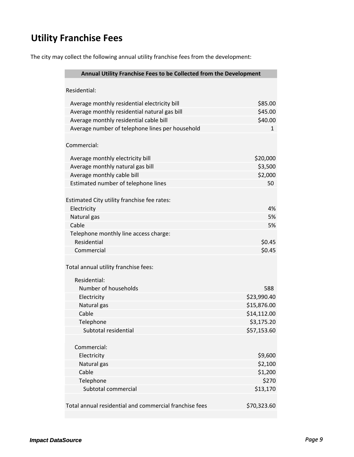# **Utility Franchise Fees**

The city may collect the following annual utility franchise fees from the development:

| Annual Utility Franchise Fees to be Collected from the Development                           |                    |  |
|----------------------------------------------------------------------------------------------|--------------------|--|
| Residential:                                                                                 |                    |  |
|                                                                                              | \$85.00            |  |
| Average monthly residential electricity bill<br>Average monthly residential natural gas bill | \$45.00            |  |
| Average monthly residential cable bill                                                       | \$40.00            |  |
| Average number of telephone lines per household                                              | $\mathbf{1}$       |  |
|                                                                                              |                    |  |
| Commercial:                                                                                  |                    |  |
| Average monthly electricity bill                                                             | \$20,000           |  |
| Average monthly natural gas bill                                                             | \$3,500            |  |
| Average monthly cable bill                                                                   | \$2,000            |  |
| Estimated number of telephone lines                                                          | 50                 |  |
|                                                                                              |                    |  |
| Estimated City utility franchise fee rates:                                                  |                    |  |
| Electricity                                                                                  | 4%                 |  |
| Natural gas                                                                                  | 5%                 |  |
| Cable                                                                                        | 5%                 |  |
| Telephone monthly line access charge:<br>Residential                                         | \$0.45             |  |
| Commercial                                                                                   | \$0.45             |  |
|                                                                                              |                    |  |
| Total annual utility franchise fees:                                                         |                    |  |
| Residential:                                                                                 |                    |  |
| Number of households                                                                         | 588                |  |
| Electricity                                                                                  | \$23,990.40        |  |
| Natural gas                                                                                  | \$15,876.00        |  |
| Cable                                                                                        | \$14,112.00        |  |
| Telephone                                                                                    | \$3,175.20         |  |
| Subtotal residential                                                                         | \$57,153.60        |  |
|                                                                                              |                    |  |
| Commercial:                                                                                  |                    |  |
| Electricity                                                                                  | \$9,600            |  |
| Natural gas<br>Cable                                                                         | \$2,100<br>\$1,200 |  |
| Telephone                                                                                    | \$270              |  |
| Subtotal commercial                                                                          | \$13,170           |  |
|                                                                                              |                    |  |
| Total annual residential and commercial franchise fees                                       | \$70,323.60        |  |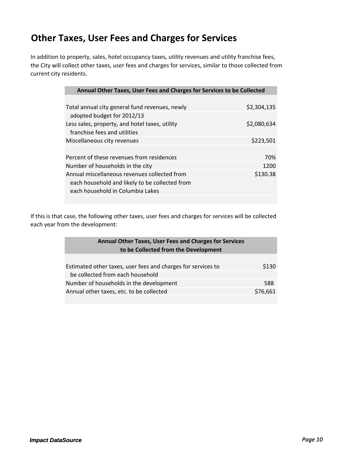# **Other Taxes, User Fees and Charges for Services**

In addition to property, sales, hotel occupancy taxes, utility revenues and utility franchise fees, the City will collect other taxes, user fees and charges for services, similar to those collected from current city residents.

| Annual Other Taxes, User Fees and Charges for Services to be Collected |             |
|------------------------------------------------------------------------|-------------|
|                                                                        |             |
| Total annual city general fund revenues, newly                         | \$2,304,135 |
| adopted budget for 2012/13                                             |             |
| Less sales, property, and hotel taxes, utility                         | \$2,080,634 |
| franchise fees and utilities                                           |             |
| Miscellaneous city revenues                                            | \$223,501   |
|                                                                        |             |
| Percent of these revenues from residences                              | 70%         |
| Number of households in the city                                       | 1200        |
| Annual miscellaneous revenues collected from                           | \$130.38    |
| each household and likely to be collected from                         |             |
| each household in Columbia Lakes                                       |             |
|                                                                        |             |

If this is that case, the following other taxes, user fees and charges for services will be collected each year from the development:

| <b>Annual Other Taxes, User Fees and Charges for Services</b><br>to be Collected from the Development |          |
|-------------------------------------------------------------------------------------------------------|----------|
|                                                                                                       |          |
| Estimated other taxes, user fees and charges for services to                                          | \$130    |
| be collected from each household                                                                      |          |
| Number of households in the development                                                               | 588      |
| Annual other taxes, etc. to be collected                                                              | \$76,661 |
|                                                                                                       |          |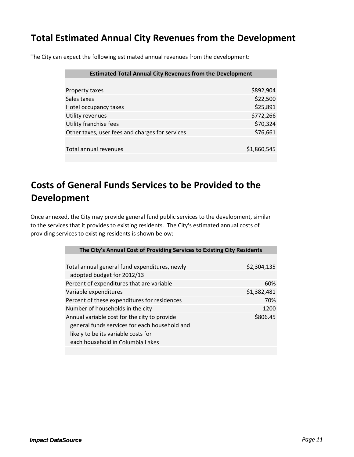# **Total Estimated Annual City Revenues from the Development**

The City can expect the following estimated annual revenues from the development:

| <b>Estimated Total Annual City Revenues from the Development</b> |             |
|------------------------------------------------------------------|-------------|
|                                                                  |             |
| Property taxes                                                   | \$892,904   |
| Sales taxes                                                      | \$22,500    |
| Hotel occupancy taxes                                            | \$25,891    |
| Utility revenues                                                 | \$772,266   |
| Utility franchise fees                                           | \$70,324    |
| Other taxes, user fees and charges for services                  | \$76,661    |
|                                                                  |             |
| Total annual revenues                                            | \$1,860,545 |

# **Costs of General Funds Services to be Provided to the Development**

Once annexed, the City may provide general fund public services to the development, similar to the services that it provides to existing residents. The City's estimated annual costs of providing services to existing residents is shown below:

| The City's Annual Cost of Providing Services to Existing City Residents                                                              |             |
|--------------------------------------------------------------------------------------------------------------------------------------|-------------|
|                                                                                                                                      |             |
| Total annual general fund expenditures, newly                                                                                        | \$2,304,135 |
| adopted budget for 2012/13                                                                                                           |             |
| Percent of expenditures that are variable                                                                                            | 60%         |
| Variable expenditures                                                                                                                | \$1,382,481 |
| Percent of these expenditures for residences                                                                                         | 70%         |
| Number of households in the city                                                                                                     | 1200        |
| Annual variable cost for the city to provide<br>general funds services for each household and<br>likely to be its variable costs for | \$806.45    |
| each household in Columbia Lakes                                                                                                     |             |
|                                                                                                                                      |             |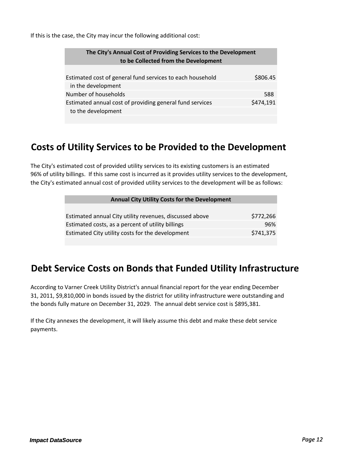If this is the case, the City may incur the following additional cost:

| The City's Annual Cost of Providing Services to the Development<br>to be Collected from the Development |           |
|---------------------------------------------------------------------------------------------------------|-----------|
| Estimated cost of general fund services to each household                                               | \$806.45  |
| in the development                                                                                      |           |
| Number of households                                                                                    | 588       |
| Estimated annual cost of providing general fund services<br>to the development                          | \$474,191 |

#### **Costs of Utility Services to be Provided to the Development**

The City's estimated cost of provided utility services to its existing customers is an estimated 96% of utility billings. If this same cost is incurred as it provides utility services to the development, the City's estimated annual cost of provided utility services to the development will be as follows:

| <b>Annual City Utility Costs for the Development</b>    |           |
|---------------------------------------------------------|-----------|
|                                                         |           |
| Estimated annual City utility revenues, discussed above | \$772,266 |
| Estimated costs, as a percent of utility billings       | 96%       |
| Estimated City utility costs for the development        | \$741,375 |

## **Debt Service Costs on Bonds that Funded Utility Infrastructure**

According to Varner Creek Utility District's annual financial report for the year ending December 31, 2011, \$9,810,000 in bonds issued by the district for utility infrastructure were outstanding and the bonds fully mature on December 31, 2029. The annual debt service cost is \$895,381.

If the City annexes the development, it will likely assume this debt and make these debt service payments.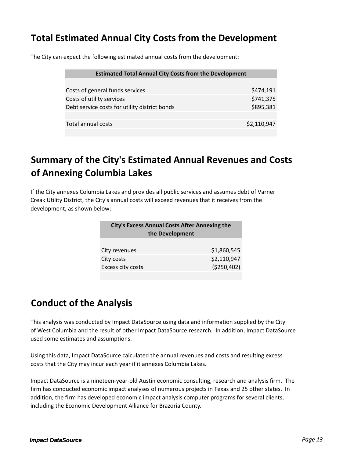# **Total Estimated Annual City Costs from the Development**

The City can expect the following estimated annual costs from the development:

| \$474,191   |
|-------------|
| \$741,375   |
| \$895,381   |
|             |
| \$2,110,947 |
|             |

# **Summary of the City's Estimated Annual Revenues and Costs of Annexing Columbia Lakes**

If the City annexes Columbia Lakes and provides all public services and assumes debt of Varner Creak Utility District, the City's annual costs will exceed revenues that it receives from the development, as shown below:

| <b>City's Excess Annual Costs After Annexing the</b><br>the Development |              |  |
|-------------------------------------------------------------------------|--------------|--|
| City revenues                                                           | \$1,860,545  |  |
| City costs                                                              | \$2,110,947  |  |
| Excess city costs                                                       | ( \$250,402) |  |
|                                                                         |              |  |

# **Conduct of the Analysis**

This analysis was conducted by Impact DataSource using data and information supplied by the City of West Columbia and the result of other Impact DataSource research. In addition, Impact DataSource used some estimates and assumptions.

Using this data, Impact DataSource calculated the annual revenues and costs and resulting excess costs that the City may incur each year if it annexes Columbia Lakes.

Impact DataSource is a nineteen‐year‐old Austin economic consulting, research and analysis firm. The firm has conducted economic impact analyses of numerous projects in Texas and 25 other states. In addition, the firm has developed economic impact analysis computer programs for several clients, including the Economic Development Alliance for Brazoria County.